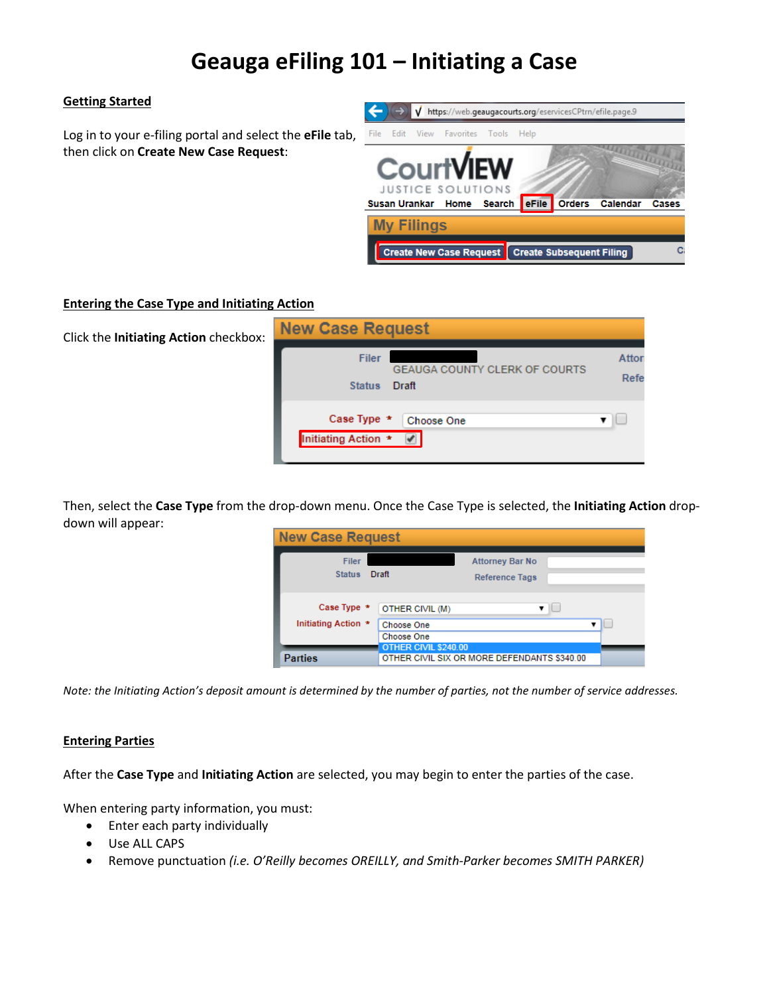# **Geauga eFiling 101 – Initiating a Case**

# **Getting Started**

Log in to your e-filing portal and select the **eFile** tab, then click on **Create New Case Request**:



## **Entering the Case Type and Initiating Action**

| Click the Initiating Action checkbox: | <b>New Case Request</b>                                                        |               |
|---------------------------------------|--------------------------------------------------------------------------------|---------------|
|                                       | <b>Filer</b><br><b>GEAUGA COUNTY CLERK OF COURTS</b><br>Draft<br><b>Status</b> | Attor<br>Refe |
|                                       | Case Type *<br>Choose One<br>Initiating Action *<br>$\overline{\mathcal{L}}$   |               |

Then, select the **Case Type** from the drop-down menu. Once the Case Type is selected, the **Initiating Action** dropdown will appear:

| <b>New Case Request</b>            |                                                                            |                                                 |  |
|------------------------------------|----------------------------------------------------------------------------|-------------------------------------------------|--|
| <b>Filer</b><br><b>Status</b>      | Draft                                                                      | <b>Attorney Bar No</b><br><b>Reference Tags</b> |  |
| Case Type *<br>Initiating Action * | OTHER CIVIL (M)<br>Choose One<br><b>Choose One</b><br>OTHER CIVIL \$240.00 | ۰.                                              |  |
| <b>Parties</b>                     |                                                                            | OTHER CIVIL SIX OR MORE DEFENDANTS \$340.00     |  |

*Note: the Initiating Action's deposit amount is determined by the number of parties, not the number of service addresses.*

## **Entering Parties**

After the **Case Type** and **Initiating Action** are selected, you may begin to enter the parties of the case.

When entering party information, you must:

- Enter each party individually
- Use ALL CAPS
- Remove punctuation *(i.e. O'Reilly becomes OREILLY, and Smith-Parker becomes SMITH PARKER)*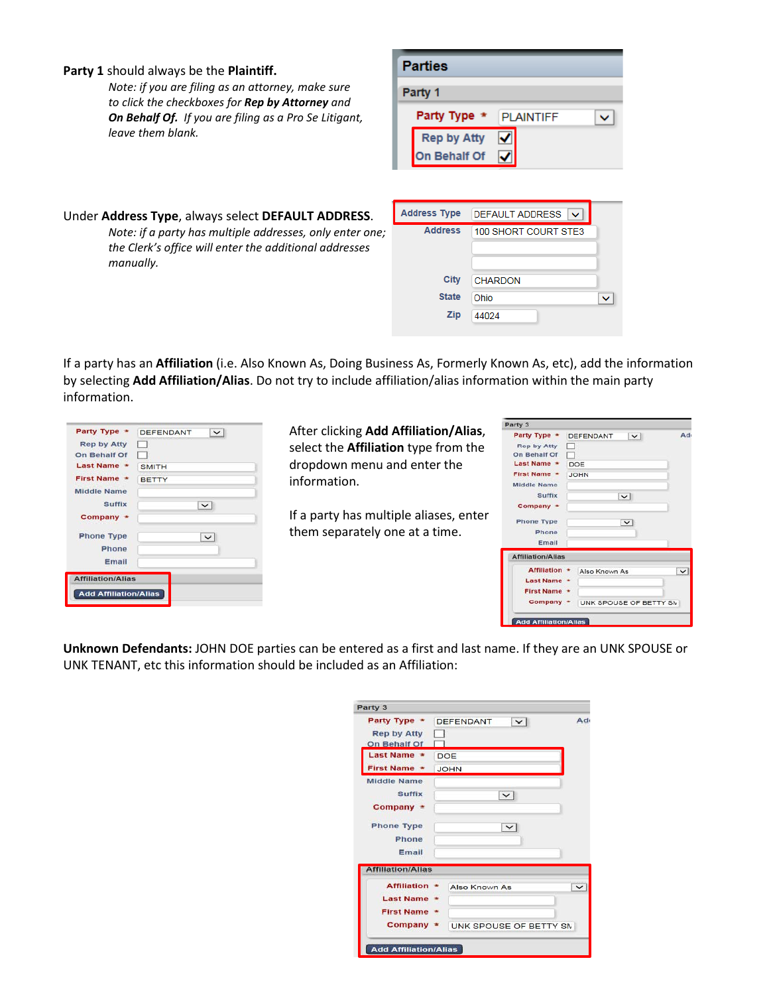#### **Party 1** should always be the **Plaintiff.**

*Note: if you are filing as an attorney, make sure to click the checkboxes for Rep by Attorney and On Behalf Of. If you are filing as a Pro Se Litigant, leave them blank.*

| <b>Parties</b>                            |                         |  |
|-------------------------------------------|-------------------------|--|
| Party 1                                   |                         |  |
| Party Type *                              | <b>PLAINTIFF</b>        |  |
| <b>Rep by Atty</b><br><b>On Behalf Of</b> | $\overline{\mathbf{y}}$ |  |
|                                           |                         |  |

# Under **Address Type**, always select **DEFAULT ADDRESS**. *Note: if a party has multiple addresses, only enter one; the Clerk's office will enter the additional addresses manually.*

| <b>Address Type</b> | <b>DEFAULT ADDRESS</b><br>◡ |  |
|---------------------|-----------------------------|--|
| <b>Address</b>      | 100 SHORT COURT STE3        |  |
| City                | <b>CHARDON</b>              |  |
| <b>State</b>        | Ohio                        |  |
| <b>Zip</b>          | 44024                       |  |

If a party has an **Affiliation** (i.e. Also Known As, Doing Business As, Formerly Known As, etc), add the information by selecting **Add Affiliation/Alias**. Do not try to include affiliation/alias information within the main party information.

| Party Type *                 | <b>DEFENDANT</b><br>$\checkmark$ |
|------------------------------|----------------------------------|
| <b>Rep by Atty</b>           |                                  |
| On Behalf Of                 |                                  |
| <b>Last Name</b>             | <b>SMITH</b>                     |
| <b>First Name *</b>          | <b>BETTY</b>                     |
| <b>Middle Name</b>           |                                  |
| <b>Suffix</b>                |                                  |
| Company                      |                                  |
| <b>Phone Type</b>            | $\checkmark$                     |
| Phone                        |                                  |
| Email                        |                                  |
| <b>Affiliation/Alias</b>     |                                  |
| <b>Add Affiliation/Alias</b> |                                  |

After clicking **Add Affiliation/Alias**, select the **Affiliation** type from the dropdown menu and enter the information.

If a party has multiple aliases, enter them separately one at a time.

| Party 3                                                                           |                                                              |
|-----------------------------------------------------------------------------------|--------------------------------------------------------------|
| Party Type *<br><b>Rep by Atty</b><br>On Behalf Of<br>Last Name *<br>First Name * | Ado<br><b>DEFENDANT</b><br>$\vee$<br>m<br>DOE<br><b>JOHN</b> |
| <b>Middle Name</b>                                                                |                                                              |
| Suffix                                                                            | $\vee$                                                       |
| Company *                                                                         |                                                              |
| <b>Phone Type</b>                                                                 | $\ddot{\phantom{0}}$                                         |
| Phone                                                                             |                                                              |
| Email                                                                             |                                                              |
| <b>Affiliation/Alias</b>                                                          |                                                              |
| <b>Affiliation *</b>                                                              | Also Known As<br>$\check{ }$                                 |
| Last Name *                                                                       |                                                              |
| <b>First Name *</b>                                                               |                                                              |
| $Commony -$                                                                       | UNK SPOUSE OF BETTY SN                                       |

**Unknown Defendants:** JOHN DOE parties can be entered as a first and last name. If they are an UNK SPOUSE or UNK TENANT, etc this information should be included as an Affiliation:

| Party 3                  |                                               |
|--------------------------|-----------------------------------------------|
| Party Type *             | Ad <sub>t</sub><br><b>DEFENDANT</b><br>$\sim$ |
| <b>Rep by Atty</b>       |                                               |
| On Behalf Of             |                                               |
| Last Name *              | DOE                                           |
| <b>First Name *</b>      | <b>JOHN</b>                                   |
| <b>Middle Name</b>       |                                               |
| <b>Suffix</b>            | $\checkmark$                                  |
| $Commonany$ $\star$      |                                               |
|                          |                                               |
| <b>Phone Type</b>        | $\check{ }$                                   |
| Phone                    |                                               |
| Email                    |                                               |
| <b>Affiliation/Alias</b> |                                               |
| <b>Affiliation</b>       | $\star$<br>Also Known As<br>$\check{ }$       |
| <b>Last Name</b>         |                                               |
| <b>First Name *</b>      |                                               |
| $Commonany$ *            |                                               |
|                          | UNK SPOUSE OF BETTY SM                        |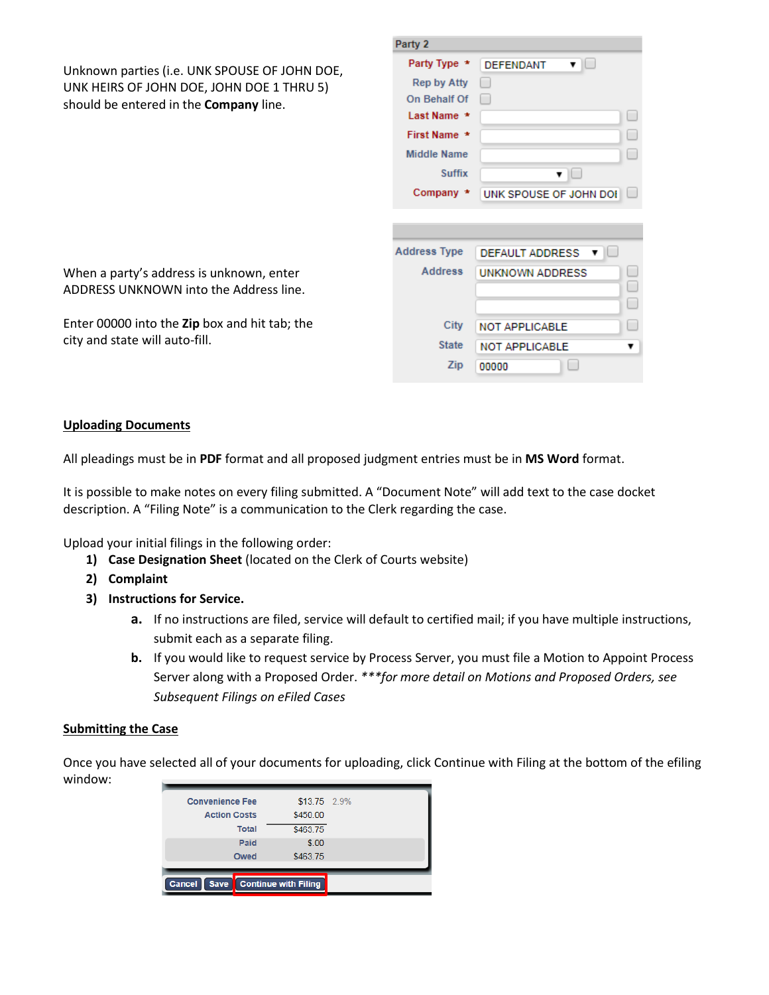|                                                                                            | Party 2             |                                     |  |
|--------------------------------------------------------------------------------------------|---------------------|-------------------------------------|--|
| Unknown parties (i.e. UNK SPOUSE OF JOHN DOE,                                              | Party Type *        | <b>DEFENDANT</b><br>$\mathbf{v}$ in |  |
| UNK HEIRS OF JOHN DOE, JOHN DOE 1 THRU 5)<br>should be entered in the <b>Company</b> line. | <b>Rep by Atty</b>  |                                     |  |
|                                                                                            | On Behalf Of        |                                     |  |
|                                                                                            | Last Name *         |                                     |  |
|                                                                                            | First Name *        |                                     |  |
|                                                                                            | <b>Middle Name</b>  |                                     |  |
|                                                                                            | <b>Suffix</b>       | $\blacksquare$                      |  |
|                                                                                            | Company *           | UNK SPOUSE OF JOHN DOI              |  |
|                                                                                            |                     |                                     |  |
|                                                                                            |                     |                                     |  |
|                                                                                            | <b>Address Type</b> | <b>DEFAULT ADDRESS</b>              |  |
| When a party's address is unknown, enter                                                   | <b>Address</b>      | <b>UNKNOWN ADDRESS</b>              |  |
| ADDRESS UNKNOWN into the Address line.                                                     |                     |                                     |  |
|                                                                                            |                     |                                     |  |
| Enter 00000 into the Zip box and hit tab; the                                              | City                | <b>NOT APPLICABLE</b>               |  |
| city and state will auto-fill.                                                             | <b>State</b>        | <b>NOT APPLICABLE</b><br>▼          |  |
|                                                                                            | Zip                 | 00000                               |  |

#### **Uploading Documents**

All pleadings must be in **PDF** format and all proposed judgment entries must be in **MS Word** format.

It is possible to make notes on every filing submitted. A "Document Note" will add text to the case docket description. A "Filing Note" is a communication to the Clerk regarding the case.

Upload your initial filings in the following order:

- **1) Case Designation Sheet** (located on the Clerk of Courts website)
- **2) Complaint**
- **3) Instructions for Service.**
	- **a.** If no instructions are filed, service will default to certified mail; if you have multiple instructions, submit each as a separate filing.
	- **b.** If you would like to request service by Process Server, you must file a Motion to Appoint Process Server along with a Proposed Order. *\*\*\*for more detail on Motions and Proposed Orders, see Subsequent Filings on eFiled Cases*

#### **Submitting the Case**

Once you have selected all of your documents for uploading, click Continue with Filing at the bottom of the efiling window:

| <b>Convenience Fee</b> | \$13.75 2.9%                |  |
|------------------------|-----------------------------|--|
| <b>Action Costs</b>    | \$450.00                    |  |
| <b>Total</b>           | \$463.75                    |  |
| Paid                   | \$.00                       |  |
| Owed                   | \$463.75                    |  |
|                        |                             |  |
| Cancel<br><b>Save</b>  | <b>Continue with Filing</b> |  |